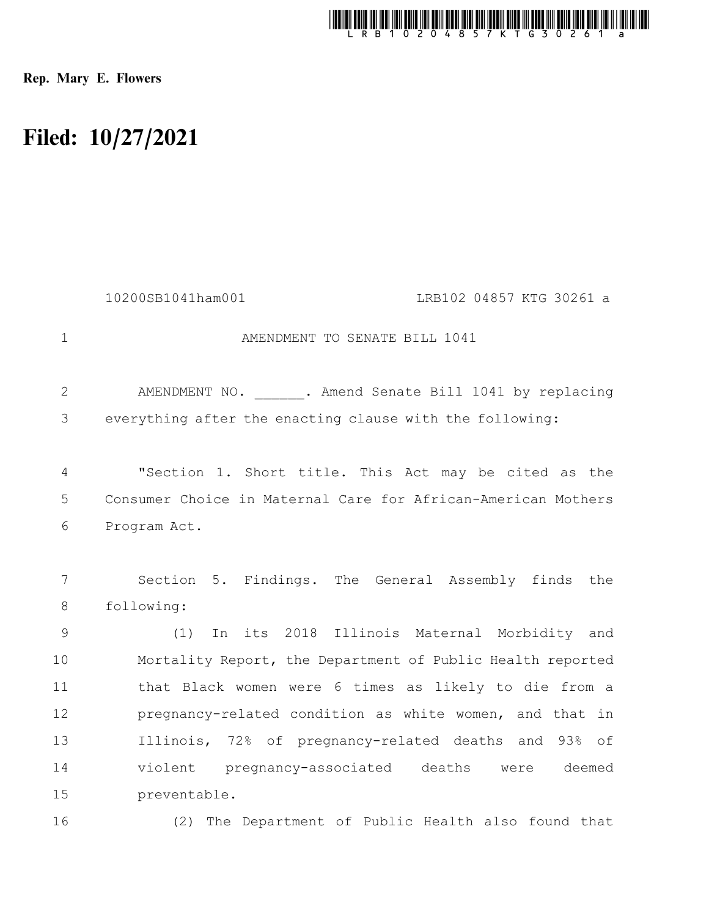

Rep. Mary E. Flowers

## Filed: 10/27/2021

|               | LRB102 04857 KTG 30261 a<br>10200SB1041ham001                 |
|---------------|---------------------------------------------------------------|
| $\mathbf{1}$  | AMENDMENT TO SENATE BILL 1041                                 |
| 2             | AMENDMENT NO. ______. Amend Senate Bill 1041 by replacing     |
| 3             | everything after the enacting clause with the following:      |
| 4             | "Section 1. Short title. This Act may be cited as the         |
| 5             | Consumer Choice in Maternal Care for African-American Mothers |
| 6             | Program Act.                                                  |
|               |                                                               |
| 7             | Section 5. Findings. The General Assembly finds the           |
| 8             | following:                                                    |
| $\mathcal{G}$ | In its 2018 Illinois Maternal Morbidity and<br>(1)            |
| 10            | Mortality Report, the Department of Public Health reported    |
| 11            | that Black women were 6 times as likely to die from a         |
| 12            | pregnancy-related condition as white women, and that in       |
| 13            | Illinois, 72% of pregnancy-related deaths and 93% of          |
| 14            | violent pregnancy-associated deaths were deemed               |
| 15            | preventable.                                                  |
| 16            | (2) The Department of Public Health also found that           |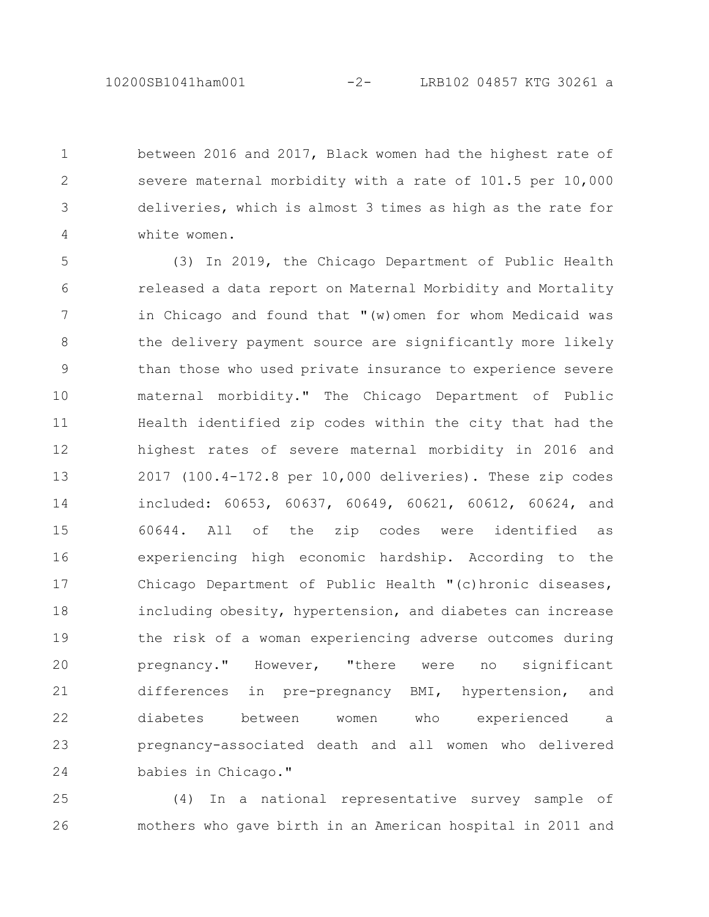between 2016 and 2017, Black women had the highest rate of severe maternal morbidity with a rate of 101.5 per 10,000 deliveries, which is almost 3 times as high as the rate for white women. 1 2 3 4

(3) In 2019, the Chicago Department of Public Health released a data report on Maternal Morbidity and Mortality in Chicago and found that "(w)omen for whom Medicaid was the delivery payment source are significantly more likely than those who used private insurance to experience severe maternal morbidity." The Chicago Department of Public Health identified zip codes within the city that had the highest rates of severe maternal morbidity in 2016 and 2017 (100.4-172.8 per 10,000 deliveries). These zip codes included: 60653, 60637, 60649, 60621, 60612, 60624, and 60644. All of the zip codes were identified as experiencing high economic hardship. According to the Chicago Department of Public Health "(c)hronic diseases, including obesity, hypertension, and diabetes can increase the risk of a woman experiencing adverse outcomes during pregnancy." However, "there were no significant differences in pre-pregnancy BMI, hypertension, and diabetes between women who experienced a pregnancy-associated death and all women who delivered babies in Chicago." 5 6 7 8 9 10 11 12 13 14 15 16 17 18 19 20 21 22 23 24

(4) In a national representative survey sample of mothers who gave birth in an American hospital in 2011 and 25 26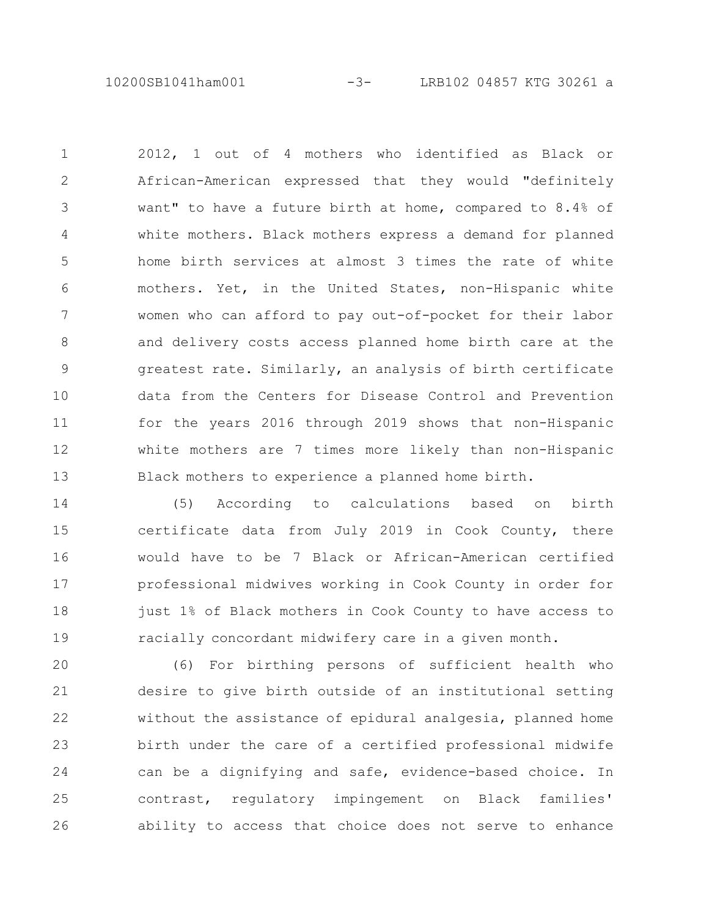10200SB1041ham001 -3- LRB102 04857 KTG 30261 a

2012, 1 out of 4 mothers who identified as Black or African-American expressed that they would "definitely want" to have a future birth at home, compared to 8.4% of white mothers. Black mothers express a demand for planned home birth services at almost 3 times the rate of white mothers. Yet, in the United States, non-Hispanic white women who can afford to pay out-of-pocket for their labor and delivery costs access planned home birth care at the greatest rate. Similarly, an analysis of birth certificate data from the Centers for Disease Control and Prevention for the years 2016 through 2019 shows that non-Hispanic white mothers are 7 times more likely than non-Hispanic Black mothers to experience a planned home birth. 1 2 3 4 5 6 7 8 9 10 11 12 13

(5) According to calculations based on birth certificate data from July 2019 in Cook County, there would have to be 7 Black or African-American certified professional midwives working in Cook County in order for just 1% of Black mothers in Cook County to have access to racially concordant midwifery care in a given month. 14 15 16 17 18 19

(6) For birthing persons of sufficient health who desire to give birth outside of an institutional setting without the assistance of epidural analgesia, planned home birth under the care of a certified professional midwife can be a dignifying and safe, evidence-based choice. In contrast, regulatory impingement on Black families' ability to access that choice does not serve to enhance 20 21 22 23 24 25 26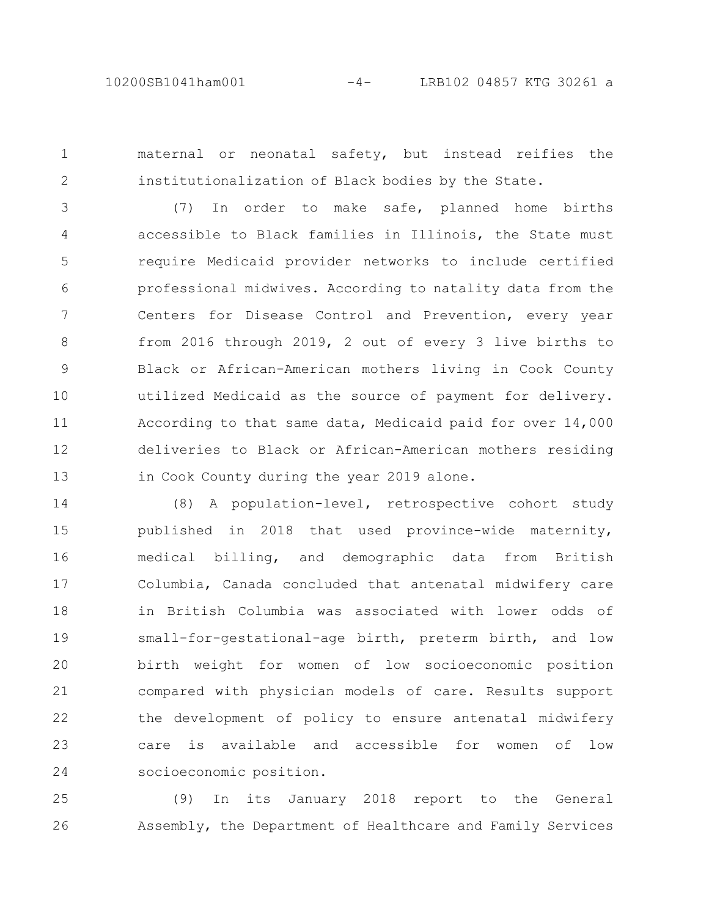1

2

maternal or neonatal safety, but instead reifies the institutionalization of Black bodies by the State.

(7) In order to make safe, planned home births accessible to Black families in Illinois, the State must require Medicaid provider networks to include certified professional midwives. According to natality data from the Centers for Disease Control and Prevention, every year from 2016 through 2019, 2 out of every 3 live births to Black or African-American mothers living in Cook County utilized Medicaid as the source of payment for delivery. According to that same data, Medicaid paid for over 14,000 deliveries to Black or African-American mothers residing in Cook County during the year 2019 alone. 3 4 5 6 7 8 9 10 11 12 13

(8) A population-level, retrospective cohort study published in 2018 that used province-wide maternity, medical billing, and demographic data from British Columbia, Canada concluded that antenatal midwifery care in British Columbia was associated with lower odds of small-for-gestational-age birth, preterm birth, and low birth weight for women of low socioeconomic position compared with physician models of care. Results support the development of policy to ensure antenatal midwifery care is available and accessible for women of low socioeconomic position. 14 15 16 17 18 19 20 21 22 23 24

(9) In its January 2018 report to the General Assembly, the Department of Healthcare and Family Services 25 26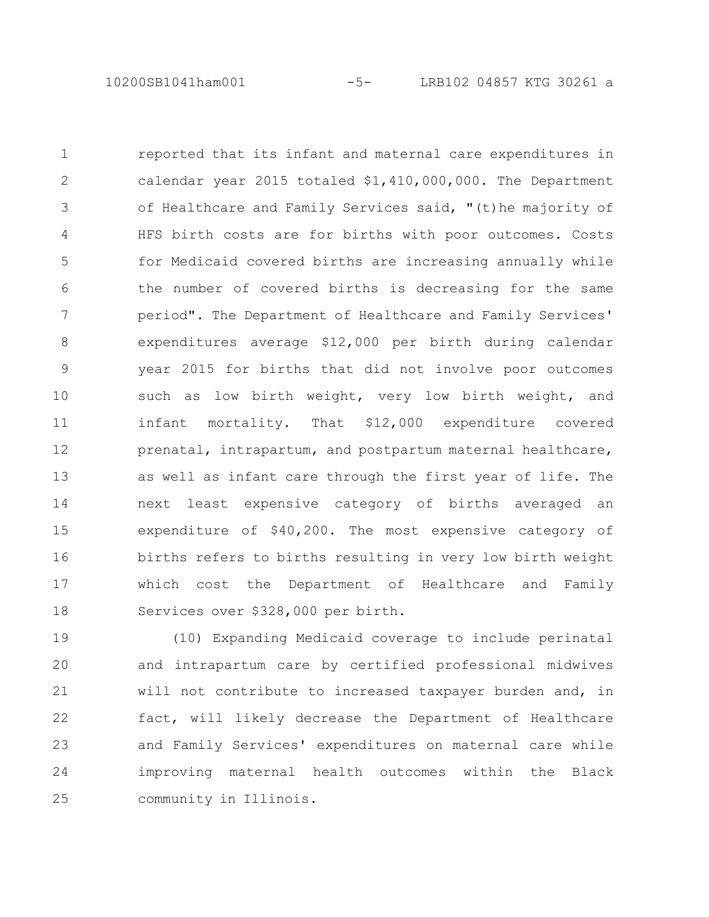reported that its infant and maternal care expenditures in calendar year 2015 totaled \$1,410,000,000. The Department of Healthcare and Family Services said, "(t)he majority of HFS birth costs are for births with poor outcomes. Costs for Medicaid covered births are increasing annually while the number of covered births is decreasing for the same period". The Department of Healthcare and Family Services' expenditures average \$12,000 per birth during calendar year 2015 for births that did not involve poor outcomes such as low birth weight, very low birth weight, and infant mortality. That \$12,000 expenditure covered prenatal, intrapartum, and postpartum maternal healthcare, as well as infant care through the first year of life. The next least expensive category of births averaged an expenditure of \$40,200. The most expensive category of births refers to births resulting in very low birth weight which cost the Department of Healthcare and Family Services over \$328,000 per birth. 1 2 3 4 5 6 7 8 9 10 11 12 13 14 15 16 17 18

(10) Expanding Medicaid coverage to include perinatal and intrapartum care by certified professional midwives will not contribute to increased taxpayer burden and, in fact, will likely decrease the Department of Healthcare and Family Services' expenditures on maternal care while improving maternal health outcomes within the Black community in Illinois. 19 20 21 22 23 24 25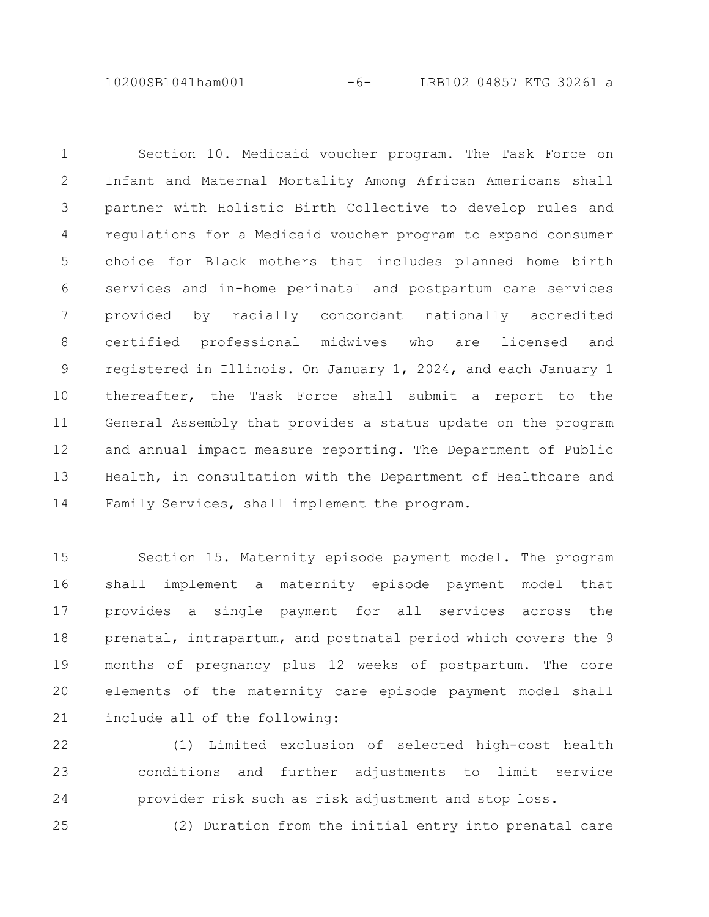10200SB1041ham001 -6- LRB102 04857 KTG 30261 a

Section 10. Medicaid voucher program. The Task Force on Infant and Maternal Mortality Among African Americans shall partner with Holistic Birth Collective to develop rules and regulations for a Medicaid voucher program to expand consumer choice for Black mothers that includes planned home birth services and in-home perinatal and postpartum care services provided by racially concordant nationally accredited certified professional midwives who are licensed and registered in Illinois. On January 1, 2024, and each January 1 thereafter, the Task Force shall submit a report to the General Assembly that provides a status update on the program and annual impact measure reporting. The Department of Public Health, in consultation with the Department of Healthcare and Family Services, shall implement the program. 1 2 3 4 5 6 7 8 9 10 11 12 13 14

Section 15. Maternity episode payment model. The program shall implement a maternity episode payment model that provides a single payment for all services across the prenatal, intrapartum, and postnatal period which covers the 9 months of pregnancy plus 12 weeks of postpartum. The core elements of the maternity care episode payment model shall include all of the following: 15 16 17 18 19 20 21

(1) Limited exclusion of selected high-cost health conditions and further adjustments to limit service provider risk such as risk adjustment and stop loss. 22 23 24

(2) Duration from the initial entry into prenatal care 25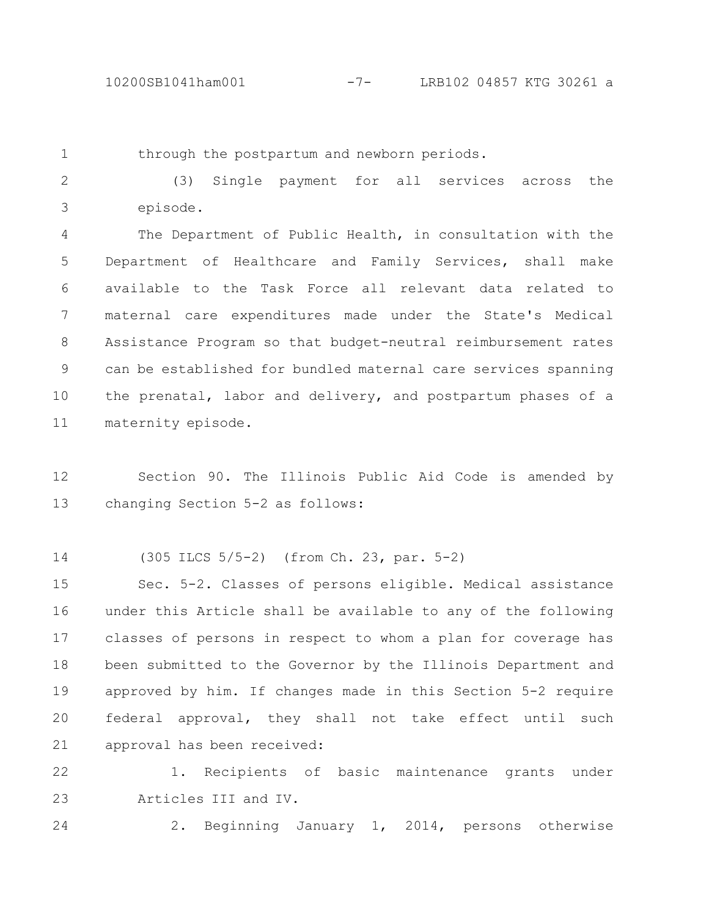1

through the postpartum and newborn periods.

(3) Single payment for all services across the episode. 2 3

The Department of Public Health, in consultation with the Department of Healthcare and Family Services, shall make available to the Task Force all relevant data related to maternal care expenditures made under the State's Medical Assistance Program so that budget-neutral reimbursement rates can be established for bundled maternal care services spanning the prenatal, labor and delivery, and postpartum phases of a maternity episode. 4 5 6 7 8 9 10 11

Section 90. The Illinois Public Aid Code is amended by changing Section 5-2 as follows: 12 13

(305 ILCS 5/5-2) (from Ch. 23, par. 5-2) 14

Sec. 5-2. Classes of persons eligible. Medical assistance under this Article shall be available to any of the following classes of persons in respect to whom a plan for coverage has been submitted to the Governor by the Illinois Department and approved by him. If changes made in this Section 5-2 require federal approval, they shall not take effect until such approval has been received: 15 16 17 18 19 20 21

1. Recipients of basic maintenance grants under Articles III and IV. 22 23

2. Beginning January 1, 2014, persons otherwise 24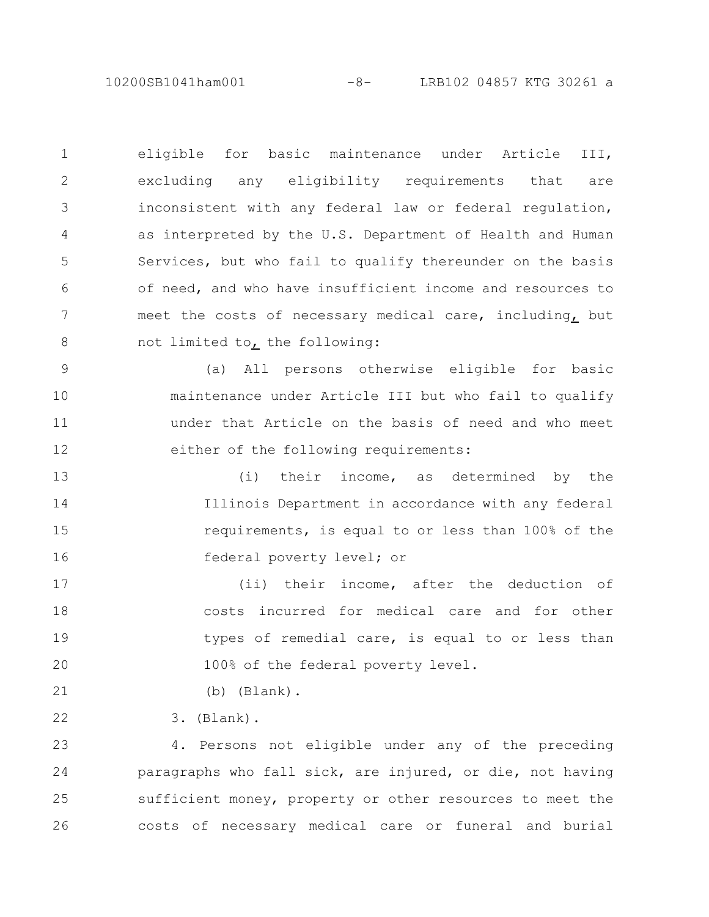10200SB1041ham001 -8- LRB102 04857 KTG 30261 a

eligible for basic maintenance under Article III, excluding any eligibility requirements that are inconsistent with any federal law or federal regulation, as interpreted by the U.S. Department of Health and Human Services, but who fail to qualify thereunder on the basis of need, and who have insufficient income and resources to meet the costs of necessary medical care, including, but not limited to, the following: 1 2 3 4 5 6 7 8

(a) All persons otherwise eligible for basic maintenance under Article III but who fail to qualify under that Article on the basis of need and who meet either of the following requirements: 9 10 11 12

(i) their income, as determined by the Illinois Department in accordance with any federal requirements, is equal to or less than 100% of the federal poverty level; or 13 14 15 16

(ii) their income, after the deduction of costs incurred for medical care and for other types of remedial care, is equal to or less than 100% of the federal poverty level. 17 18 19 20

(b) (Blank).

3. (Blank). 22

21

4. Persons not eligible under any of the preceding paragraphs who fall sick, are injured, or die, not having sufficient money, property or other resources to meet the costs of necessary medical care or funeral and burial 23 24 25 26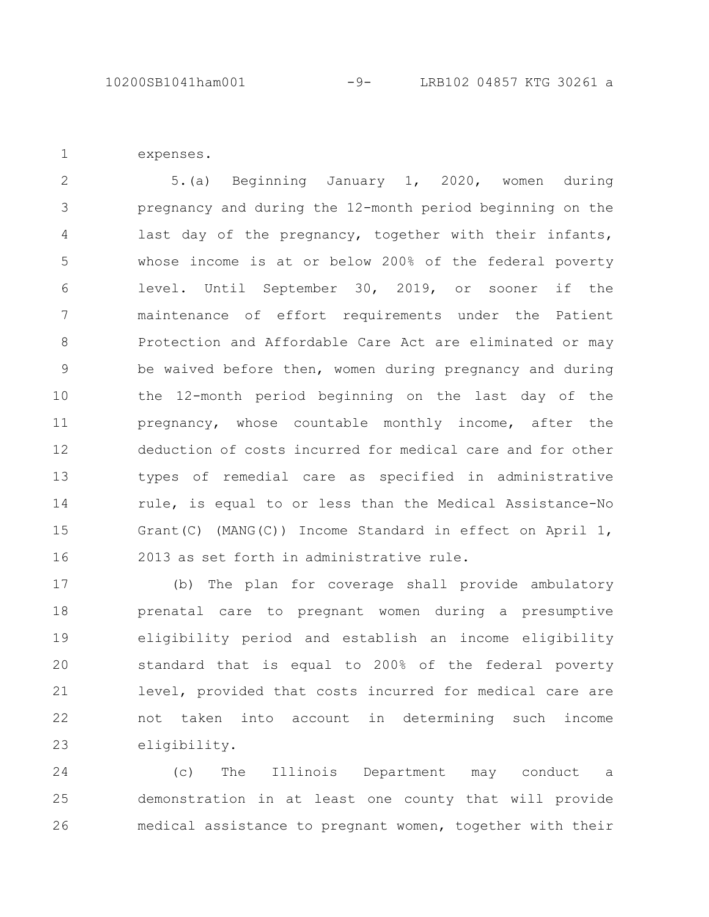expenses.

1

5.(a) Beginning January 1, 2020, women during pregnancy and during the 12-month period beginning on the last day of the pregnancy, together with their infants, whose income is at or below 200% of the federal poverty level. Until September 30, 2019, or sooner if the maintenance of effort requirements under the Patient Protection and Affordable Care Act are eliminated or may be waived before then, women during pregnancy and during the 12-month period beginning on the last day of the pregnancy, whose countable monthly income, after the deduction of costs incurred for medical care and for other types of remedial care as specified in administrative rule, is equal to or less than the Medical Assistance-No Grant(C) (MANG(C)) Income Standard in effect on April 1, 2013 as set forth in administrative rule. 2 3 4 5 6 7 8 9 10 11 12 13 14 15 16

(b) The plan for coverage shall provide ambulatory prenatal care to pregnant women during a presumptive eligibility period and establish an income eligibility standard that is equal to 200% of the federal poverty level, provided that costs incurred for medical care are not taken into account in determining such income eligibility. 17 18 19 20 21 22 23

(c) The Illinois Department may conduct a demonstration in at least one county that will provide medical assistance to pregnant women, together with their 24 25 26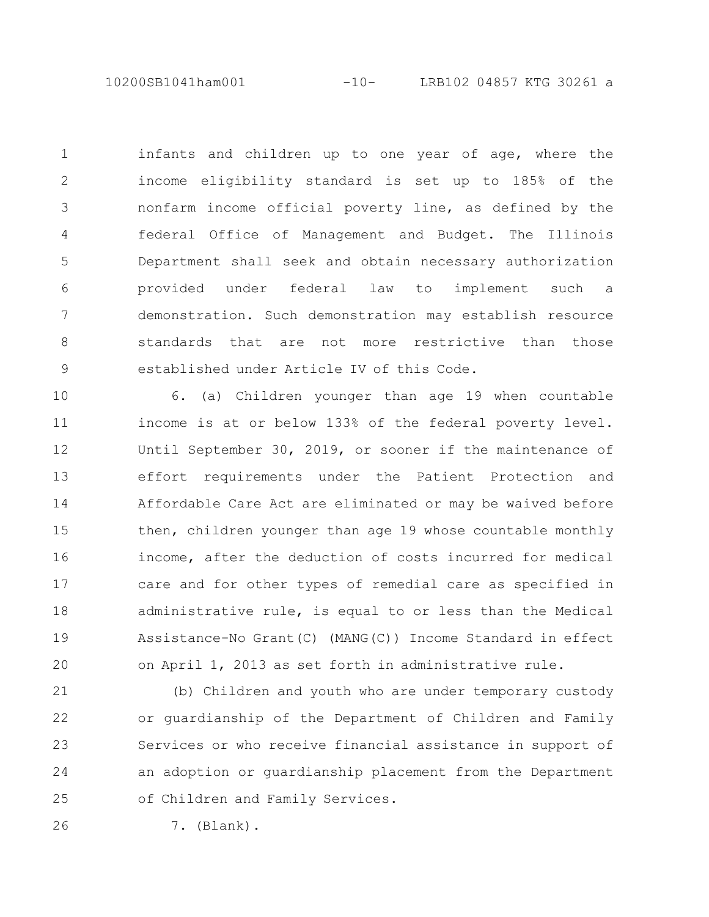10200SB1041ham001 -10- LRB102 04857 KTG 30261 a

infants and children up to one year of age, where the income eligibility standard is set up to 185% of the nonfarm income official poverty line, as defined by the federal Office of Management and Budget. The Illinois Department shall seek and obtain necessary authorization provided under federal law to implement such a demonstration. Such demonstration may establish resource standards that are not more restrictive than those established under Article IV of this Code. 1 2 3 4 5 6 7 8 9

6. (a) Children younger than age 19 when countable income is at or below 133% of the federal poverty level. Until September 30, 2019, or sooner if the maintenance of effort requirements under the Patient Protection and Affordable Care Act are eliminated or may be waived before then, children younger than age 19 whose countable monthly income, after the deduction of costs incurred for medical care and for other types of remedial care as specified in administrative rule, is equal to or less than the Medical Assistance-No Grant(C) (MANG(C)) Income Standard in effect on April 1, 2013 as set forth in administrative rule. 10 11 12 13 14 15 16 17 18 19 20

(b) Children and youth who are under temporary custody or guardianship of the Department of Children and Family Services or who receive financial assistance in support of an adoption or guardianship placement from the Department of Children and Family Services. 21 22 23 24 25

26

7. (Blank).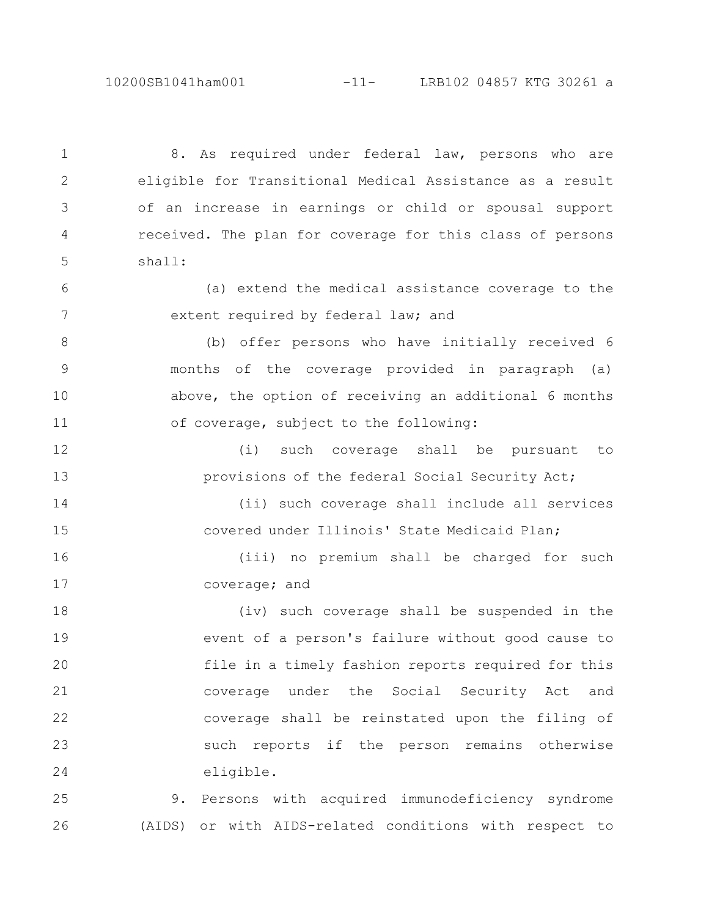10200SB1041ham001 -11- LRB102 04857 KTG 30261 a

8. As required under federal law, persons who are eligible for Transitional Medical Assistance as a result of an increase in earnings or child or spousal support received. The plan for coverage for this class of persons shall: 1 2 3 4 5

(a) extend the medical assistance coverage to the extent required by federal law; and 6 7

(b) offer persons who have initially received 6 months of the coverage provided in paragraph (a) above, the option of receiving an additional 6 months of coverage, subject to the following: 8 9 10 11

(i) such coverage shall be pursuant to provisions of the federal Social Security Act; 12 13

(ii) such coverage shall include all services covered under Illinois' State Medicaid Plan; 14 15

(iii) no premium shall be charged for such coverage; and 16 17

(iv) such coverage shall be suspended in the event of a person's failure without good cause to file in a timely fashion reports required for this coverage under the Social Security Act and coverage shall be reinstated upon the filing of such reports if the person remains otherwise eligible. 18 19 20 21 22 23 24

9. Persons with acquired immunodeficiency syndrome (AIDS) or with AIDS-related conditions with respect to 25 26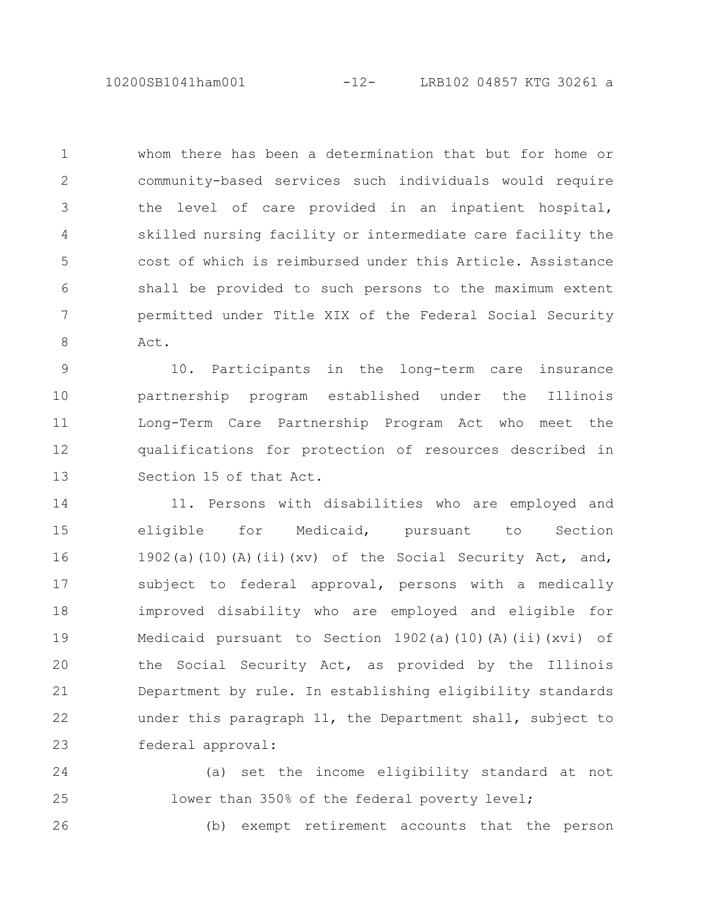10200SB1041ham001 -12- LRB102 04857 KTG 30261 a

whom there has been a determination that but for home or community-based services such individuals would require the level of care provided in an inpatient hospital, skilled nursing facility or intermediate care facility the cost of which is reimbursed under this Article. Assistance shall be provided to such persons to the maximum extent permitted under Title XIX of the Federal Social Security Act. 1 2 3 4 5 6 7 8

10. Participants in the long-term care insurance partnership program established under the Illinois Long-Term Care Partnership Program Act who meet the qualifications for protection of resources described in Section 15 of that Act. 9 10 11 12 13

11. Persons with disabilities who are employed and eligible for Medicaid, pursuant to Section 1902(a)(10)(A)(ii)(xv) of the Social Security Act, and, subject to federal approval, persons with a medically improved disability who are employed and eligible for Medicaid pursuant to Section 1902(a)(10)(A)(ii)(xvi) of the Social Security Act, as provided by the Illinois Department by rule. In establishing eligibility standards under this paragraph 11, the Department shall, subject to federal approval: 14 15 16 17 18 19 20 21 22 23

(a) set the income eligibility standard at not lower than 350% of the federal poverty level; 24 25

26

(b) exempt retirement accounts that the person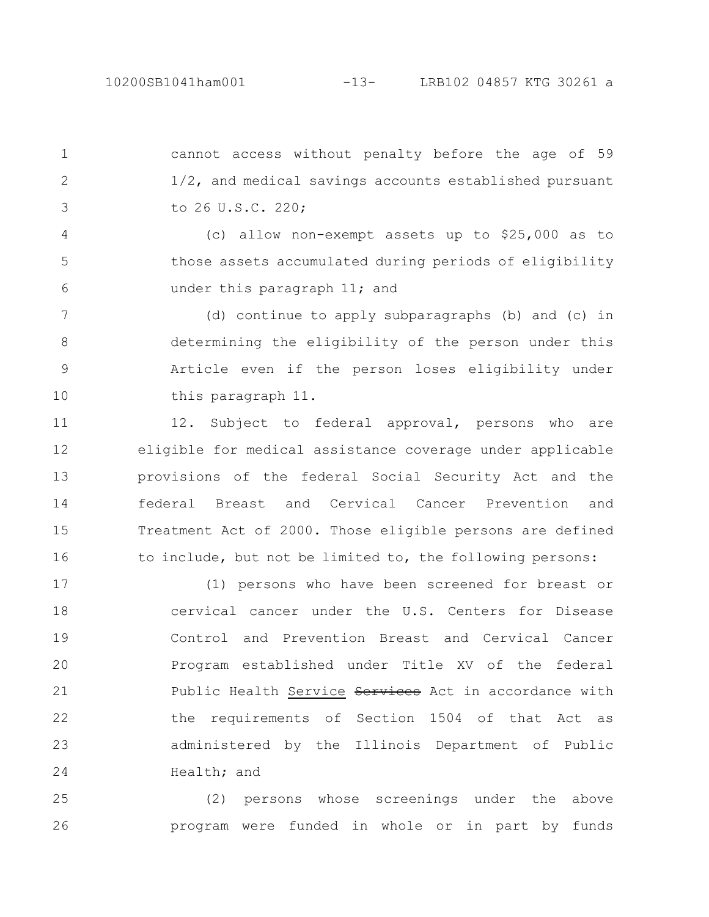cannot access without penalty before the age of 59 1/2, and medical savings accounts established pursuant to 26 U.S.C. 220; 1 2 3

(c) allow non-exempt assets up to \$25,000 as to those assets accumulated during periods of eligibility under this paragraph 11; and 4 5 6

(d) continue to apply subparagraphs (b) and (c) in determining the eligibility of the person under this Article even if the person loses eligibility under this paragraph 11. 7 8 9 10

12. Subject to federal approval, persons who are eligible for medical assistance coverage under applicable provisions of the federal Social Security Act and the federal Breast and Cervical Cancer Prevention and Treatment Act of 2000. Those eligible persons are defined to include, but not be limited to, the following persons: 11 12 13 14 15 16

(1) persons who have been screened for breast or cervical cancer under the U.S. Centers for Disease Control and Prevention Breast and Cervical Cancer Program established under Title XV of the federal Public Health Service Services Act in accordance with the requirements of Section 1504 of that Act as administered by the Illinois Department of Public Health; and 17 18 19 20 21 22 23 24

(2) persons whose screenings under the above program were funded in whole or in part by funds 25 26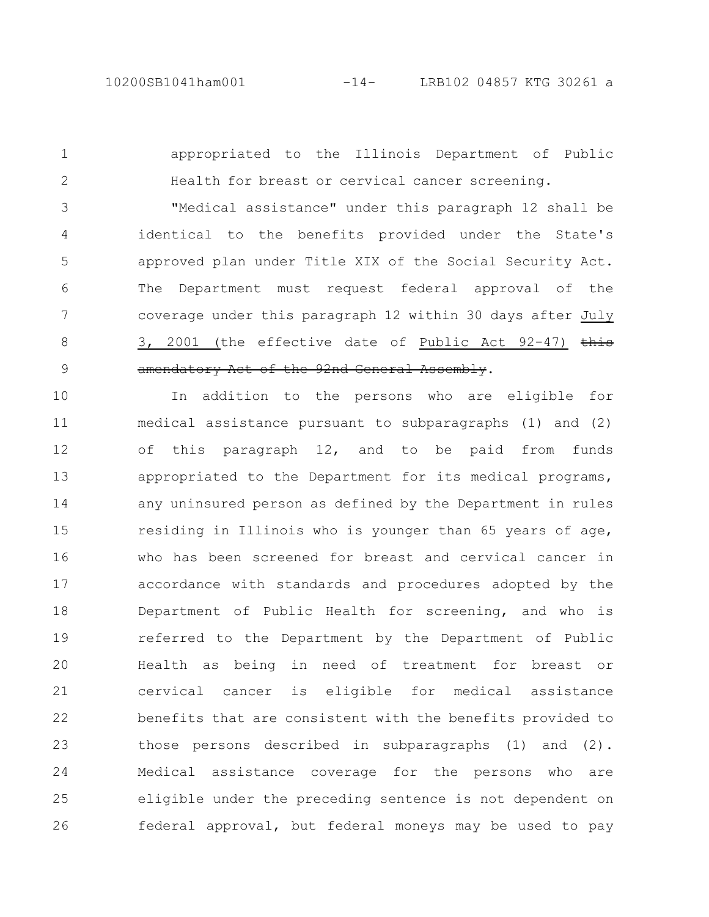appropriated to the Illinois Department of Public Health for breast or cervical cancer screening. "Medical assistance" under this paragraph 12 shall be identical to the benefits provided under the State's approved plan under Title XIX of the Social Security Act. The Department must request federal approval of the coverage under this paragraph 12 within 30 days after July 3, 2001 (the effective date of Public Act 92-47) this amendatory Act of the 92nd General Assembly. 1 2 3 4 5 6 7 8 9

In addition to the persons who are eligible for medical assistance pursuant to subparagraphs (1) and (2) of this paragraph 12, and to be paid from funds appropriated to the Department for its medical programs, any uninsured person as defined by the Department in rules residing in Illinois who is younger than 65 years of age, who has been screened for breast and cervical cancer in accordance with standards and procedures adopted by the Department of Public Health for screening, and who is referred to the Department by the Department of Public Health as being in need of treatment for breast or cervical cancer is eligible for medical assistance benefits that are consistent with the benefits provided to those persons described in subparagraphs (1) and (2). Medical assistance coverage for the persons who are eligible under the preceding sentence is not dependent on federal approval, but federal moneys may be used to pay 10 11 12 13 14 15 16 17 18 19 20 21 22 23 24 25 26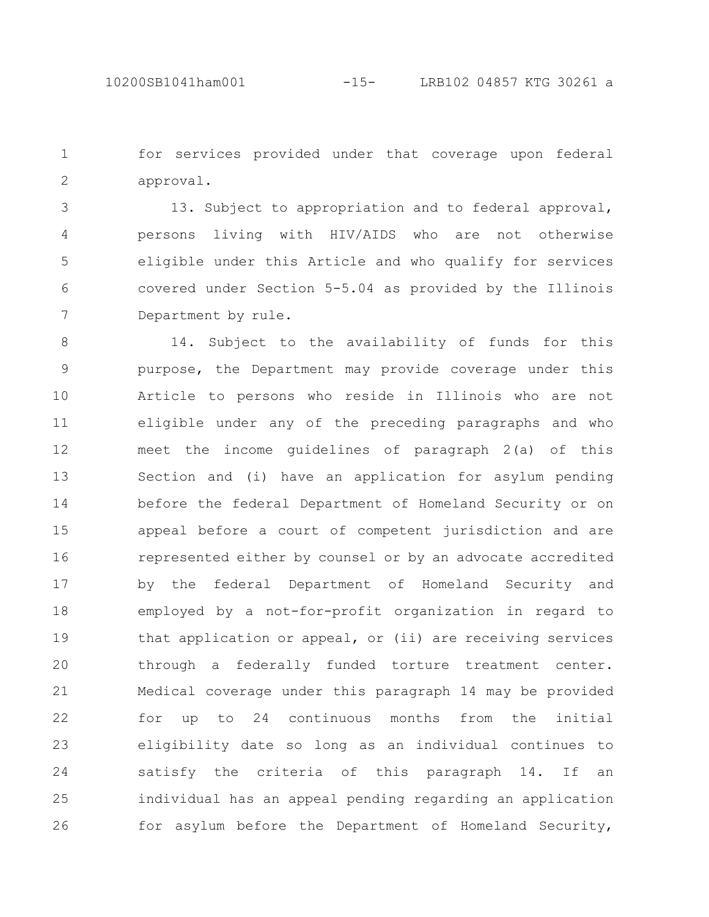for services provided under that coverage upon federal approval. 1 2

13. Subject to appropriation and to federal approval, persons living with HIV/AIDS who are not otherwise eligible under this Article and who qualify for services covered under Section 5-5.04 as provided by the Illinois Department by rule. 3 4 5 6 7

14. Subject to the availability of funds for this purpose, the Department may provide coverage under this Article to persons who reside in Illinois who are not eligible under any of the preceding paragraphs and who meet the income guidelines of paragraph 2(a) of this Section and (i) have an application for asylum pending before the federal Department of Homeland Security or on appeal before a court of competent jurisdiction and are represented either by counsel or by an advocate accredited by the federal Department of Homeland Security and employed by a not-for-profit organization in regard to that application or appeal, or (ii) are receiving services through a federally funded torture treatment center. Medical coverage under this paragraph 14 may be provided for up to 24 continuous months from the initial eligibility date so long as an individual continues to satisfy the criteria of this paragraph 14. If an individual has an appeal pending regarding an application for asylum before the Department of Homeland Security, 8 9 10 11 12 13 14 15 16 17 18 19 20 21 22 23 24 25 26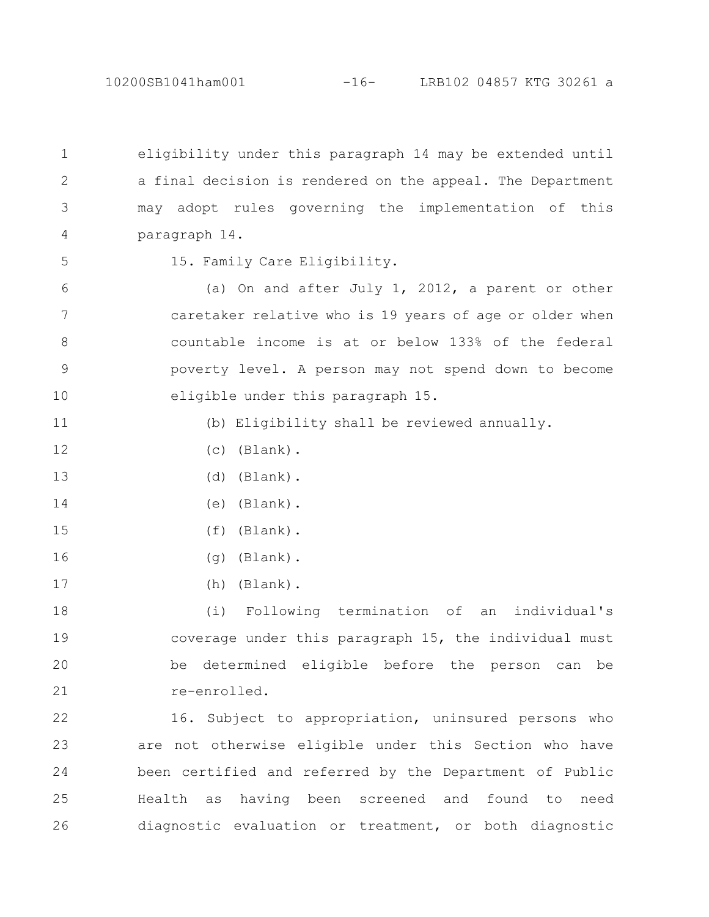eligibility under this paragraph 14 may be extended until a final decision is rendered on the appeal. The Department may adopt rules governing the implementation of this paragraph 14. 1 2 3 4

5

15. Family Care Eligibility.

(a) On and after July 1, 2012, a parent or other caretaker relative who is 19 years of age or older when countable income is at or below 133% of the federal poverty level. A person may not spend down to become eligible under this paragraph 15. 6 7 8 9 10

11

15

17

(b) Eligibility shall be reviewed annually.

- (c) (Blank). 12
- (d) (Blank). 13
- (e) (Blank). 14
	- (f) (Blank).
- (g) (Blank). 16
	- (h) (Blank).

(i) Following termination of an individual's coverage under this paragraph 15, the individual must be determined eligible before the person can be re-enrolled. 18 19 20 21

16. Subject to appropriation, uninsured persons who are not otherwise eligible under this Section who have been certified and referred by the Department of Public Health as having been screened and found to need diagnostic evaluation or treatment, or both diagnostic 22 23 24 25 26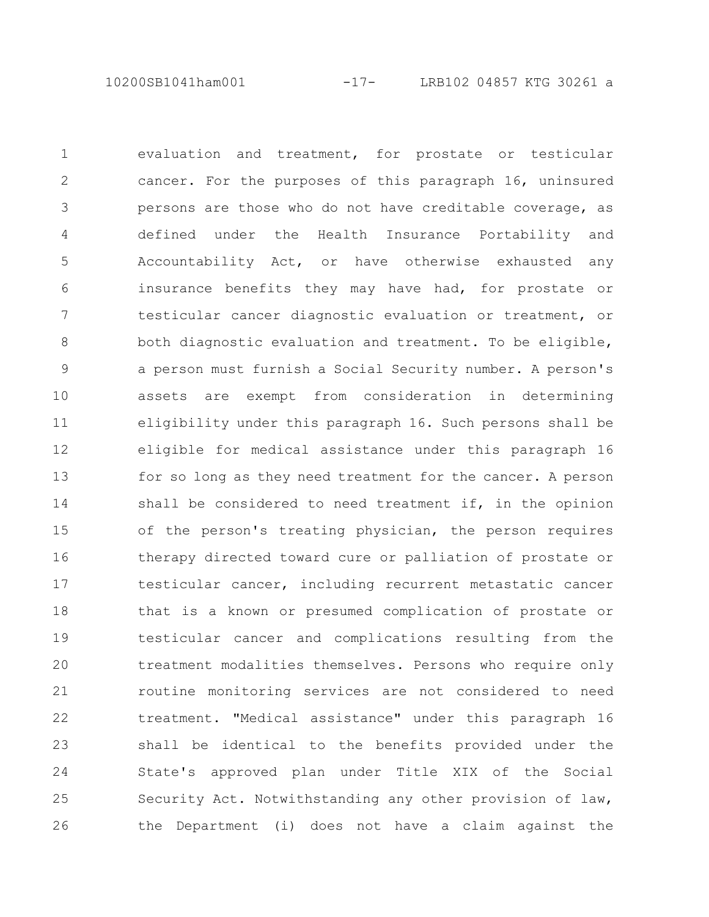10200SB1041ham001 -17- LRB102 04857 KTG 30261 a

evaluation and treatment, for prostate or testicular cancer. For the purposes of this paragraph 16, uninsured persons are those who do not have creditable coverage, as defined under the Health Insurance Portability and Accountability Act, or have otherwise exhausted any insurance benefits they may have had, for prostate or testicular cancer diagnostic evaluation or treatment, or both diagnostic evaluation and treatment. To be eligible, a person must furnish a Social Security number. A person's assets are exempt from consideration in determining eligibility under this paragraph 16. Such persons shall be eligible for medical assistance under this paragraph 16 for so long as they need treatment for the cancer. A person shall be considered to need treatment if, in the opinion of the person's treating physician, the person requires therapy directed toward cure or palliation of prostate or testicular cancer, including recurrent metastatic cancer that is a known or presumed complication of prostate or testicular cancer and complications resulting from the treatment modalities themselves. Persons who require only routine monitoring services are not considered to need treatment. "Medical assistance" under this paragraph 16 shall be identical to the benefits provided under the State's approved plan under Title XIX of the Social Security Act. Notwithstanding any other provision of law, the Department (i) does not have a claim against the 1 2 3 4 5 6 7 8 9 10 11 12 13 14 15 16 17 18 19 20 21 22 23 24 25 26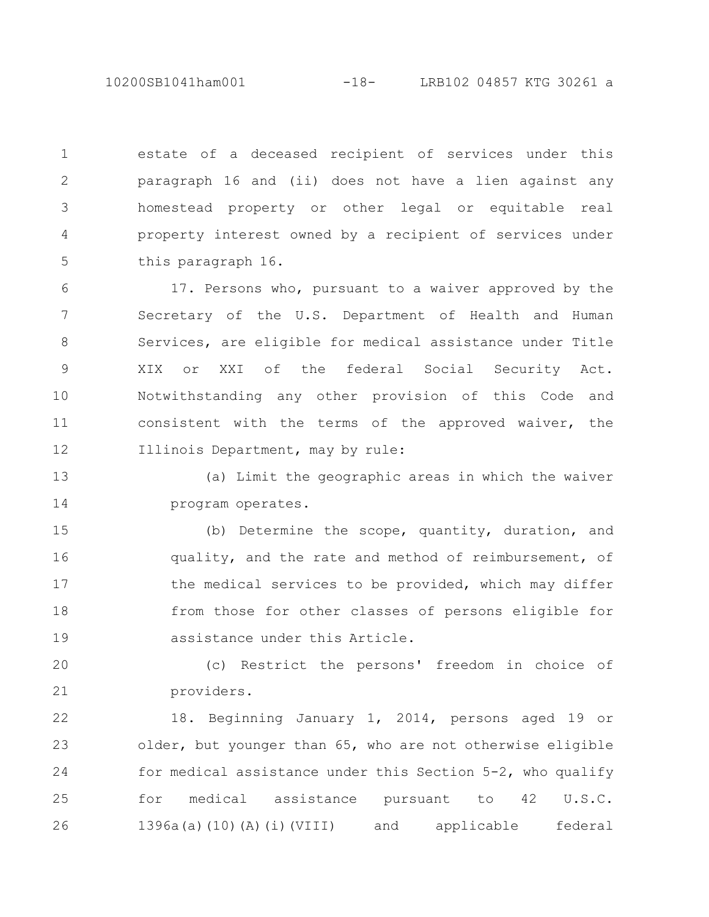10200SB1041ham001 -18- LRB102 04857 KTG 30261 a

estate of a deceased recipient of services under this paragraph 16 and (ii) does not have a lien against any homestead property or other legal or equitable real property interest owned by a recipient of services under this paragraph 16. 1 2 3 4 5

17. Persons who, pursuant to a waiver approved by the Secretary of the U.S. Department of Health and Human Services, are eligible for medical assistance under Title XIX or XXI of the federal Social Security Act. Notwithstanding any other provision of this Code and consistent with the terms of the approved waiver, the Illinois Department, may by rule: 6 7 8 9 10 11 12

(a) Limit the geographic areas in which the waiver program operates. 13 14

(b) Determine the scope, quantity, duration, and quality, and the rate and method of reimbursement, of the medical services to be provided, which may differ from those for other classes of persons eligible for assistance under this Article. 15 16 17 18 19

(c) Restrict the persons' freedom in choice of providers. 20 21

18. Beginning January 1, 2014, persons aged 19 or older, but younger than 65, who are not otherwise eligible for medical assistance under this Section 5-2, who qualify for medical assistance pursuant to 42 U.S.C. 1396a(a)(10)(A)(i)(VIII) and applicable federal 22 23 24 25 26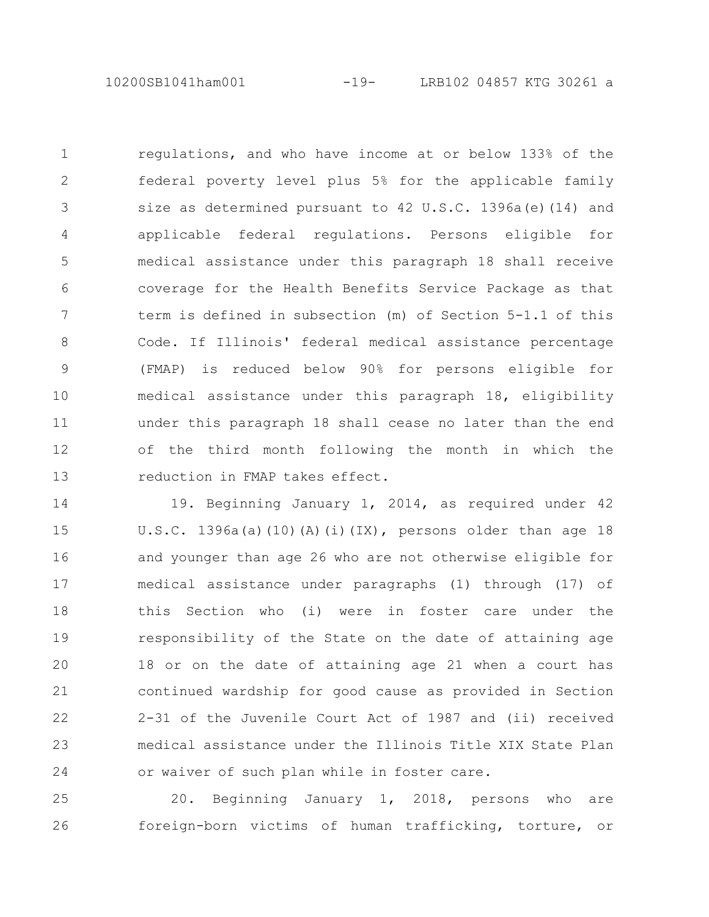10200SB1041ham001 -19- LRB102 04857 KTG 30261 a

regulations, and who have income at or below 133% of the federal poverty level plus 5% for the applicable family size as determined pursuant to 42 U.S.C. 1396a(e)(14) and applicable federal regulations. Persons eligible for medical assistance under this paragraph 18 shall receive coverage for the Health Benefits Service Package as that term is defined in subsection (m) of Section 5-1.1 of this Code. If Illinois' federal medical assistance percentage (FMAP) is reduced below 90% for persons eligible for medical assistance under this paragraph 18, eligibility under this paragraph 18 shall cease no later than the end of the third month following the month in which the reduction in FMAP takes effect. 1 2 3 4 5 6 7 8 9 10 11 12 13

19. Beginning January 1, 2014, as required under 42 U.S.C. 1396a(a)(10)(A)(i)(IX), persons older than age 18 and younger than age 26 who are not otherwise eligible for medical assistance under paragraphs (1) through (17) of this Section who (i) were in foster care under the responsibility of the State on the date of attaining age 18 or on the date of attaining age 21 when a court has continued wardship for good cause as provided in Section 2-31 of the Juvenile Court Act of 1987 and (ii) received medical assistance under the Illinois Title XIX State Plan or waiver of such plan while in foster care. 14 15 16 17 18 19 20 21 22 23 24

20. Beginning January 1, 2018, persons who are foreign-born victims of human trafficking, torture, or 25 26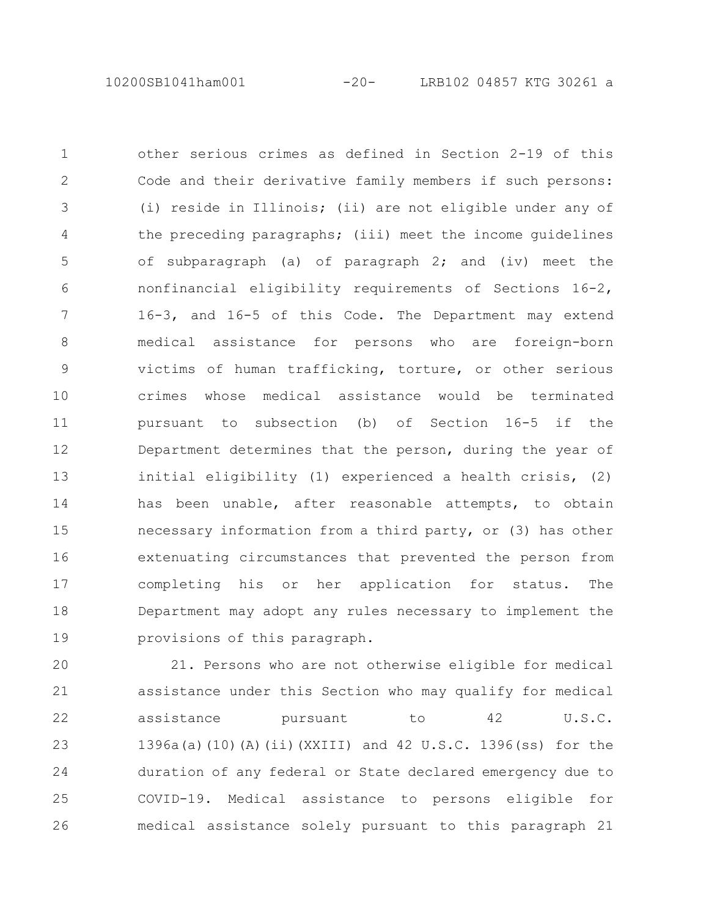10200SB1041ham001 -20- LRB102 04857 KTG 30261 a

other serious crimes as defined in Section 2-19 of this Code and their derivative family members if such persons: (i) reside in Illinois; (ii) are not eligible under any of the preceding paragraphs; (iii) meet the income guidelines of subparagraph (a) of paragraph 2; and (iv) meet the nonfinancial eligibility requirements of Sections 16-2, 16-3, and 16-5 of this Code. The Department may extend medical assistance for persons who are foreign-born victims of human trafficking, torture, or other serious crimes whose medical assistance would be terminated pursuant to subsection (b) of Section 16-5 if the Department determines that the person, during the year of initial eligibility (1) experienced a health crisis, (2) has been unable, after reasonable attempts, to obtain necessary information from a third party, or (3) has other extenuating circumstances that prevented the person from completing his or her application for status. The Department may adopt any rules necessary to implement the provisions of this paragraph. 1 2 3 4 5 6 7 8 9 10 11 12 13 14 15 16 17 18 19

21. Persons who are not otherwise eligible for medical assistance under this Section who may qualify for medical assistance pursuant to 42 U.S.C. 1396a(a)(10)(A)(ii)(XXIII) and 42 U.S.C. 1396(ss) for the duration of any federal or State declared emergency due to COVID-19. Medical assistance to persons eligible for medical assistance solely pursuant to this paragraph 21 20 21 22 23 24 25 26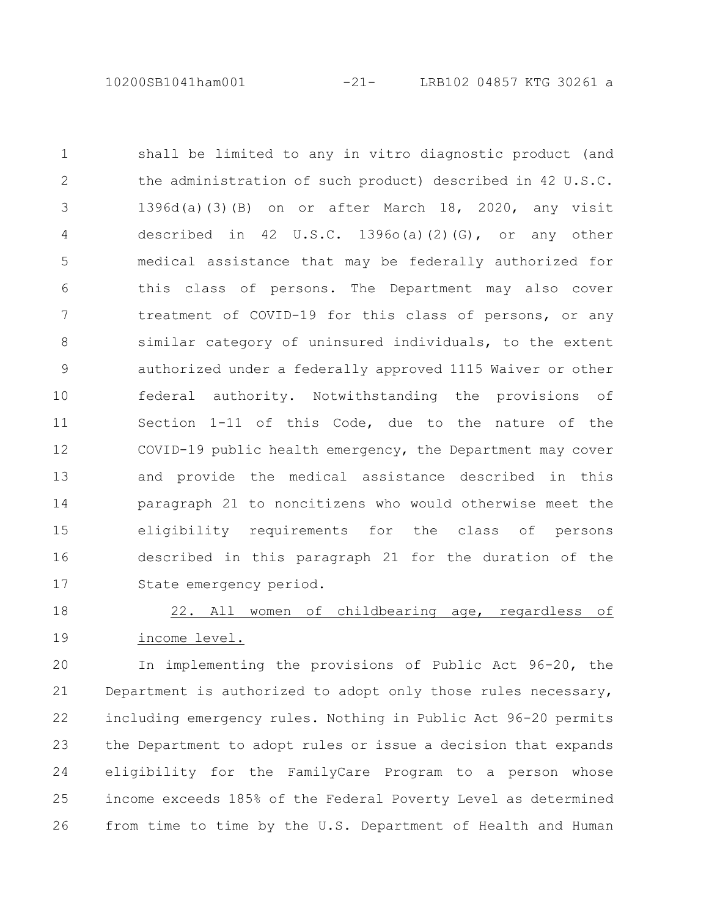10200SB1041ham001 -21- LRB102 04857 KTG 30261 a

shall be limited to any in vitro diagnostic product (and the administration of such product) described in 42 U.S.C. 1396d(a)(3)(B) on or after March 18, 2020, any visit described in 42 U.S.C. 1396o(a)(2)(G), or any other medical assistance that may be federally authorized for this class of persons. The Department may also cover treatment of COVID-19 for this class of persons, or any similar category of uninsured individuals, to the extent authorized under a federally approved 1115 Waiver or other federal authority. Notwithstanding the provisions of Section 1-11 of this Code, due to the nature of the COVID-19 public health emergency, the Department may cover and provide the medical assistance described in this paragraph 21 to noncitizens who would otherwise meet the eligibility requirements for the class of persons described in this paragraph 21 for the duration of the State emergency period. 1 2 3 4 5 6 7 8 9 10 11 12 13 14 15 16 17

22. All women of childbearing age, regardless of income level. 18 19

In implementing the provisions of Public Act 96-20, the Department is authorized to adopt only those rules necessary, including emergency rules. Nothing in Public Act 96-20 permits the Department to adopt rules or issue a decision that expands eligibility for the FamilyCare Program to a person whose income exceeds 185% of the Federal Poverty Level as determined from time to time by the U.S. Department of Health and Human 20 21 22 23 24 25 26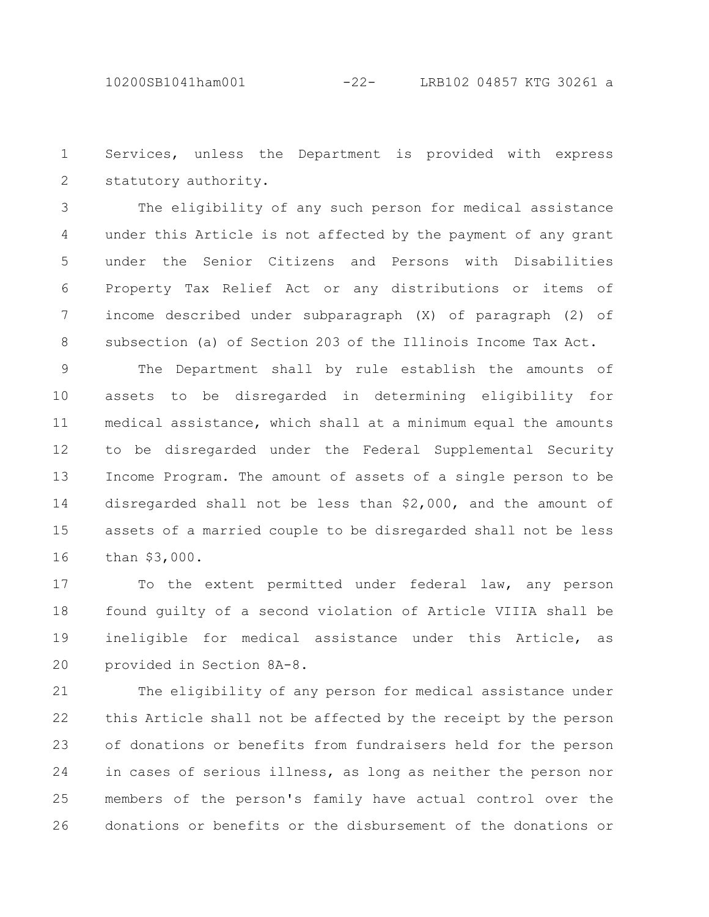Services, unless the Department is provided with express statutory authority. 1 2

The eligibility of any such person for medical assistance under this Article is not affected by the payment of any grant under the Senior Citizens and Persons with Disabilities Property Tax Relief Act or any distributions or items of income described under subparagraph (X) of paragraph (2) of subsection (a) of Section 203 of the Illinois Income Tax Act. 3 4 5 6 7 8

The Department shall by rule establish the amounts of assets to be disregarded in determining eligibility for medical assistance, which shall at a minimum equal the amounts to be disregarded under the Federal Supplemental Security Income Program. The amount of assets of a single person to be disregarded shall not be less than \$2,000, and the amount of assets of a married couple to be disregarded shall not be less than \$3,000. 9 10 11 12 13 14 15 16

To the extent permitted under federal law, any person found guilty of a second violation of Article VIIIA shall be ineligible for medical assistance under this Article, as provided in Section 8A-8. 17 18 19 20

The eligibility of any person for medical assistance under this Article shall not be affected by the receipt by the person of donations or benefits from fundraisers held for the person in cases of serious illness, as long as neither the person nor members of the person's family have actual control over the donations or benefits or the disbursement of the donations or 21 22 23 24 25 26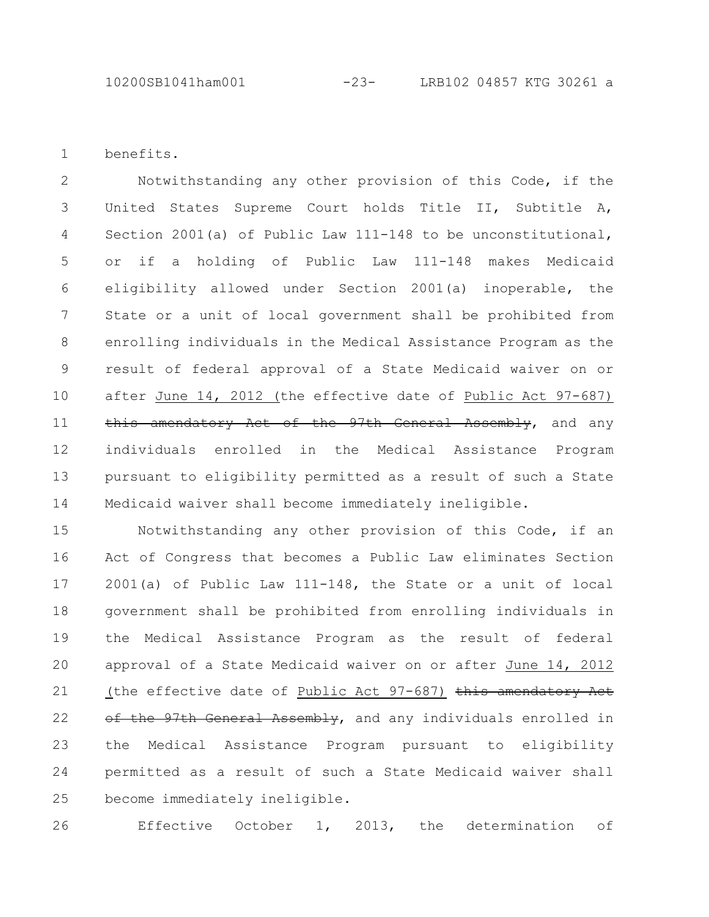benefits. 1

Notwithstanding any other provision of this Code, if the United States Supreme Court holds Title II, Subtitle A, Section 2001(a) of Public Law 111-148 to be unconstitutional, or if a holding of Public Law 111-148 makes Medicaid eligibility allowed under Section 2001(a) inoperable, the State or a unit of local government shall be prohibited from enrolling individuals in the Medical Assistance Program as the result of federal approval of a State Medicaid waiver on or after June 14, 2012 (the effective date of Public Act 97-687) this amendatory Act of the 97th General Assembly, and any individuals enrolled in the Medical Assistance Program pursuant to eligibility permitted as a result of such a State Medicaid waiver shall become immediately ineligible. 2 3 4 5 6 7 8 9 10 11 12 13 14

Notwithstanding any other provision of this Code, if an Act of Congress that becomes a Public Law eliminates Section 2001(a) of Public Law 111-148, the State or a unit of local government shall be prohibited from enrolling individuals in the Medical Assistance Program as the result of federal approval of a State Medicaid waiver on or after June 14, 2012 (the effective date of Public Act 97-687) this amendatory Act of the 97th General Assembly, and any individuals enrolled in the Medical Assistance Program pursuant to eligibility permitted as a result of such a State Medicaid waiver shall become immediately ineligible. 15 16 17 18 19 20 21 22 23 24 25

Effective October 1, 2013, the determination of 26